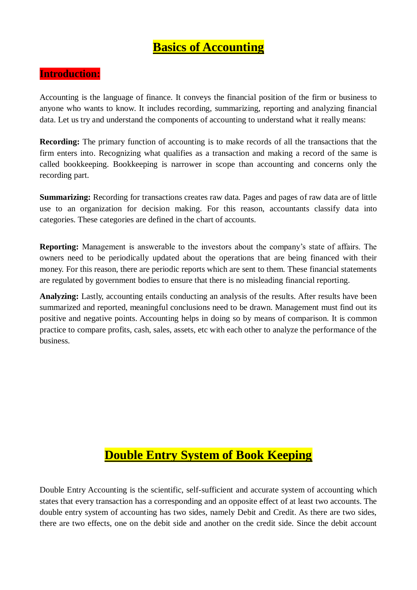# **Basics of Accounting**

### **Introduction:**

Accounting is the language of finance. It conveys the financial position of the firm or business to anyone who wants to know. It includes recording, summarizing, reporting and analyzing financial data. Let us try and understand the components of accounting to understand what it really means:

**Recording:** The primary function of accounting is to make records of all the transactions that the firm enters into. Recognizing what qualifies as a transaction and making a record of the same is called bookkeeping. Bookkeeping is narrower in scope than accounting and concerns only the recording part.

**Summarizing:** Recording for transactions creates raw data. Pages and pages of raw data are of little use to an organization for decision making. For this reason, accountants classify data into categories. These categories are defined in the chart of accounts.

**Reporting:** Management is answerable to the investors about the company's state of affairs. The owners need to be periodically updated about the operations that are being financed with their money. For this reason, there are periodic reports which are sent to them. These financial statements are regulated by government bodies to ensure that there is no misleading financial reporting.

**Analyzing:** Lastly, accounting entails conducting an analysis of the results. After results have been summarized and reported, meaningful conclusions need to be drawn. Management must find out its positive and negative points. Accounting helps in doing so by means of comparison. It is common practice to compare profits, cash, sales, assets, etc with each other to analyze the performance of the business.

# **Double Entry System of Book Keeping**

Double Entry Accounting is the scientific, self-sufficient and accurate system of accounting which states that every transaction has a corresponding and an opposite effect of at least two accounts. The double entry system of accounting has two sides, namely Debit and Credit. As there are two sides, there are two effects, one on the debit side and another on the credit side. Since the debit account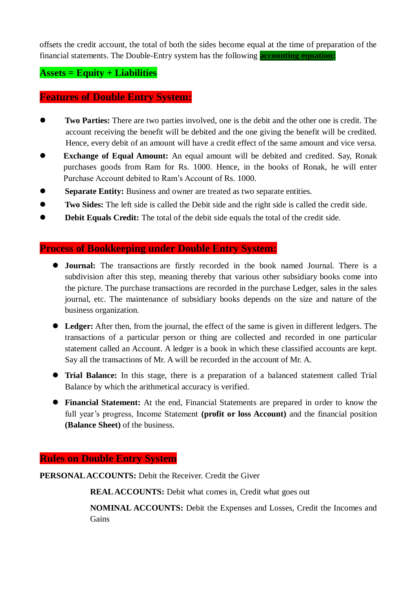offsets the credit account, the total of both the sides become equal at the time of preparation of the financial statements. The Double-Entry system has the following **[accounting equation:](https://efinancemanagement.com/financial-accounting/what-is-accounting-equation)**

#### **Assets = Equity + Liabilities**

#### **[Features of Double Entry System:](https://efinancemanagement.com/financial-accounting/what-is-accounting-equation)**

- **Two Parties:** There are two parties involved, one is the debit and the other one is credit. The account receiving the benefit will be debited and the one giving the benefit will be credited. Hence, every debit of an amount will have a credit effect of the same amount and vice versa.
- **Exchange of Equal Amount:** An equal amount will be debited and credited. Say, Ronak purchases goods from Ram for Rs. 1000. Hence, in the books of Ronak, he will enter Purchase Account debited to Ram's Account of Rs. 1000.
- **Separate Entity:** Business and owner are treated as two separate entities.
- **Two Sides:** The left side is called the Debit side and the right side is called the credit side.
- **Debit Equals Credit:** The total of the debit side equals the total of the credit side.

# **Process of Bookkeeping under Double Entry System:**

- **Journal:** The transactions are firstly recorded in the book named Journal. There is a subdivision after this step, meaning thereby that various other subsidiary books come into the picture. The purchase transactions are recorded in the purchase Ledger, sales in the sales journal, etc. The maintenance of subsidiary books depends on the size and nature of the business organization.
- **Ledger:** After then, from the journal, the effect of the same is given in different ledgers. The transactions of a particular person or thing are collected and recorded in one particular statement called an Account. A ledger is a book in which these classified accounts are kept. Say all the transactions of Mr. A will be recorded in the account of Mr. A.
- **Trial Balance:** In this stage, there is a preparation of a balanced statement called Trial Balance by which the arithmetical accuracy is verified.
- **Financial Statement:** At the end, Financial Statements are prepared in order to know the full year's progress, Income Statement **(profit or loss Account)** and the financial position **(Balance Sheet)** of the business.

#### **Rules on Double Entry System**

**PERSONAL ACCOUNTS:** Debit the Receiver. Credit the Giver

**REAL ACCOUNTS:** Debit what comes in, Credit what goes out

**NOMINAL ACCOUNTS:** Debit the Expenses and Losses, Credit the Incomes and **Gains**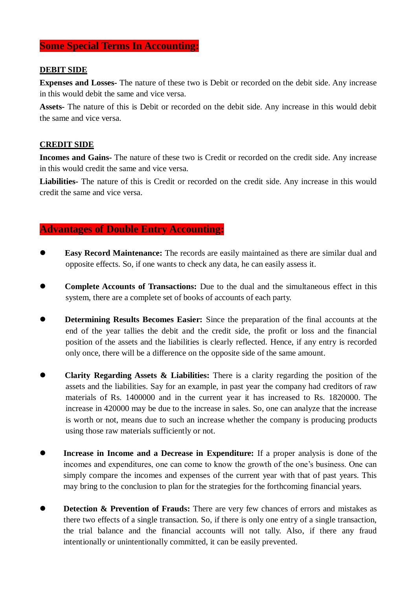### **Some Special Terms In Accounting:**

#### **DEBIT SIDE**

**Expenses and Losses-** The nature of these two is Debit or recorded on the debit side. Any increase in this would debit the same and vice versa.

**Assets-** The nature of this is Debit or recorded on the debit side. Any increase in this would debit the same and vice versa.

#### **CREDIT SIDE**

**Incomes and Gains-** The nature of these two is Credit or recorded on the credit side. Any increase in this would credit the same and vice versa.

**Liabilities-** The nature of this is Credit or recorded on the credit side. Any increase in this would credit the same and vice versa.

#### **Advantages of Double Entry Accounting:**

- **Easy Record Maintenance:** The records are easily maintained as there are similar dual and opposite effects. So, if one wants to check any data, he can easily assess it.
- **Complete Accounts of Transactions:** Due to the dual and the simultaneous effect in this system, there are a complete set of books of accounts of each party.
- **Determining Results Becomes Easier:** Since the preparation of the final accounts at the end of the year tallies the debit and the credit side, the profit or loss and the financial position of the assets and the liabilities is clearly reflected. Hence, if any entry is recorded only once, there will be a difference on the opposite side of the same amount.
- **Clarity Regarding Assets & Liabilities:** There is a clarity regarding the position of the assets and the liabilities. Say for an example, in past year the company had creditors of raw materials of Rs. 1400000 and in the current year it has increased to Rs. 1820000. The increase in 420000 may be due to the increase in sales. So, one can analyze that the increase is worth or not, means due to such an increase whether the company is producing products using those raw materials sufficiently or not.
- **Increase in Income and a Decrease in Expenditure:** If a proper analysis is done of the incomes and expenditures, one can come to know the growth of the one's business. One can simply compare the incomes and expenses of the current year with that of past years. This may bring to the conclusion to plan for the strategies for the forthcoming financial years.
- **Detection & Prevention of Frauds:** There are very few chances of errors and mistakes as there two effects of a single transaction. So, if there is only one entry of a single transaction, the trial balance and the financial accounts will not tally. Also, if there any fraud intentionally or unintentionally committed, it can be easily prevented.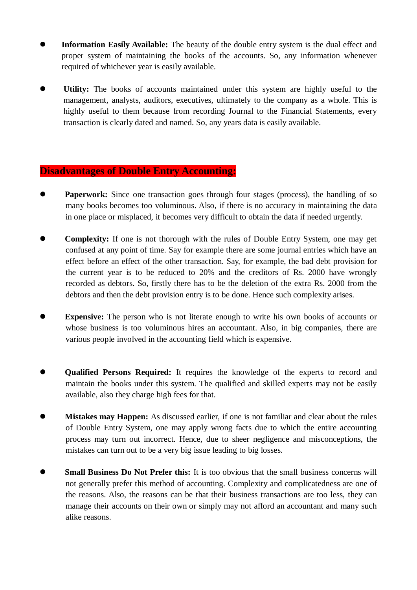- **Information Easily Available:** The beauty of the double entry system is the dual effect and proper system of maintaining the books of the accounts. So, any information whenever required of whichever year is easily available.
- **Utility:** The books of accounts maintained under this system are highly useful to the management, analysts, auditors, executives, ultimately to the company as a whole. This is highly useful to them because from recording Journal to the Financial Statements, every transaction is clearly dated and named. So, any years data is easily available.

#### **Disadvantages of Double Entry Accounting:**

- **Paperwork:** Since one transaction goes through four stages (process), the handling of so many books becomes too voluminous. Also, if there is no accuracy in maintaining the data in one place or misplaced, it becomes very difficult to obtain the data if needed urgently.
- **Complexity:** If one is not thorough with the rules of Double Entry System, one may get confused at any point of time. Say for example there are some journal entries which have an effect before an effect of the other transaction. Say, for example, the bad debt provision for the current year is to be reduced to 20% and the creditors of Rs. 2000 have wrongly recorded as debtors. So, firstly there has to be the deletion of the extra Rs. 2000 from the debtors and then the debt provision entry is to be done. Hence such complexity arises.
- **Expensive:** The person who is not literate enough to write his own books of accounts or whose business is too voluminous hires an accountant. Also, in big companies, there are various people involved in the accounting field which is expensive.
- **Qualified Persons Required:** It requires the knowledge of the experts to record and maintain the books under this system. The qualified and skilled experts may not be easily available, also they charge high fees for that.
- **Mistakes may Happen:** As discussed earlier, if one is not familiar and clear about the rules of Double Entry System, one may apply wrong facts due to which the entire accounting process may turn out incorrect. Hence, due to sheer negligence and misconceptions, the mistakes can turn out to be a very big issue leading to big losses.
- **Small Business Do Not Prefer this:** It is too obvious that the small business concerns will not generally prefer this method of accounting. Complexity and complicatedness are one of the reasons. Also, the reasons can be that their business transactions are too less, they can manage their accounts on their own or simply may not afford an accountant and many such alike reasons.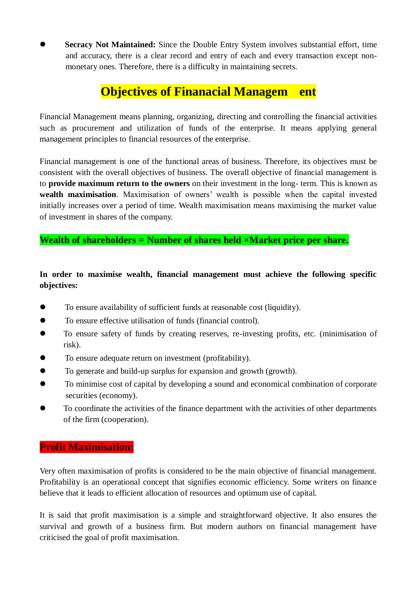**Secracy Not Maintained:** Since the Double Entry System involves substantial effort, time and accuracy, there is a clear record and entry of each and every transaction except nonmonetary ones. Therefore, there is a difficulty in maintaining secrets.

# **Objectives of Finanacial Managem ent**

Financial Management means planning, organizing, directing and controlling the financial activities such as procurement and utilization of funds of the enterprise. It means applying general management principles to financial resources of the enterprise.

Financial management is one of the functional areas of business. Therefore, its objectives must be consistent with the overall objectives of business. The overall objective of financial management is to **provide maximum return to the owners** on their investment in the long- term. This is known as **wealth maximisation**. Maximisation of owners' wealth is possible when the capital invested initially increases over a period of time. Wealth maximisation means maximising the market value of investment in shares of the company.

### **Wealth of shareholders = Number of shares held ×Market price per share.**

#### **In order to maximise wealth, financial management must achieve the following specific objectives:**

- To ensure availability of sufficient funds at reasonable cost (liquidity).
- To ensure effective utilisation of funds (financial control).
- To ensure safety of funds by creating reserves, re-investing profits, etc. (minimisation of risk).
- To ensure adequate return on investment (profitability).
- To generate and build-up surplus for expansion and growth (growth).
- To minimise cost of capital by developing a sound and economical combination of corporate securities (economy).
- To coordinate the activities of the finance department with the activities of other departments of the firm (cooperation).

### **Profit Maximisation:**

Very often maximisation of profits is considered to be the main objective of financial management. Profitability is an operational concept that signifies economic efficiency. Some writers on finance believe that it leads to efficient allocation of resources and optimum use of capital.

It is said that profit maximisation is a simple and straightforward objective. It also ensures the survival and growth of a business firm. But modern authors on financial management have criticised the goal of profit maximisation.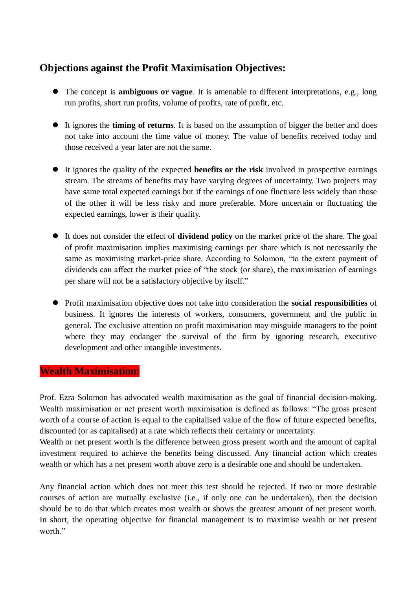## **Objections against the Profit Maximisation Objectives:**

- The concept is **ambiguous or vague**. It is amenable to different interpretations, e.g., long run profits, short run profits, volume of profits, rate of profit, etc.
- It ignores the **timing of returns**. It is based on the assumption of bigger the better and does not take into account the time value of money. The value of benefits received today and those received a year later are not the same.
- It ignores the quality of the expected **benefits or the risk** involved in prospective earnings stream. The streams of benefits may have varying degrees of uncertainty. Two projects may have same total expected earnings but if the earnings of one fluctuate less widely than those of the other it will be less risky and more preferable. More uncertain or fluctuating the expected earnings, lower is their quality.
- It does not consider the effect of **dividend policy** on the market price of the share. The goal of profit maximisation implies maximising earnings per share which is not necessarily the same as maximising market-price share. According to Solomon, "to the extent payment of dividends can affect the market price of "the stock (or share), the maximisation of earnings per share will not be a satisfactory objective by itself."
- Profit maximisation objective does not take into consideration the **social responsibilities** of business. It ignores the interests of workers, consumers, government and the public in general. The exclusive attention on profit maximisation may misguide managers to the point where they may endanger the survival of the firm by ignoring research, executive development and other intangible investments.

#### **Wealth Maximisation:**

Prof. Ezra Solomon has advocated wealth maximisation as the goal of financial decision-making. Wealth maximisation or net present worth maximisation is defined as follows: "The gross present worth of a course of action is equal to the capitalised value of the flow of future expected benefits, discounted (or as capitalised) at a rate which reflects their certainty or uncertainty.

Wealth or net present worth is the difference between gross present worth and the amount of capital investment required to achieve the benefits being discussed. Any financial action which creates wealth or which has a net present worth above zero is a desirable one and should be undertaken.

Any financial action which does not meet this test should be rejected. If two or more desirable courses of action are mutually exclusive (i.e., if only one can be undertaken), then the decision should be to do that which creates most wealth or shows the greatest amount of net present worth. In short, the operating objective for financial management is to maximise wealth or net present worth."